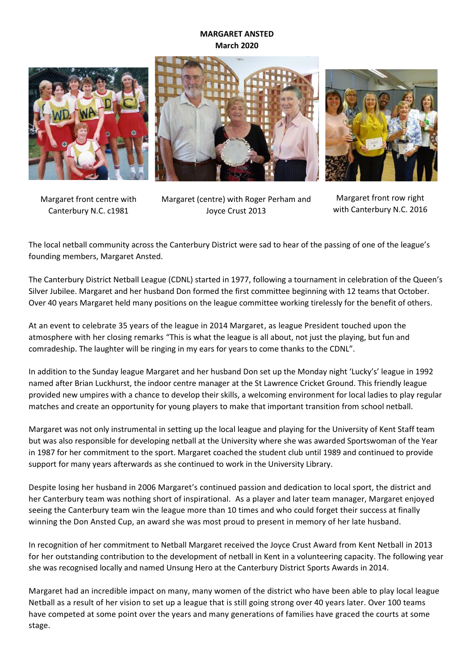## **MARGARET ANSTED March 2020**







Margaret front centre with Canterbury N.C. c1981

Margaret (centre) with Roger Perham and Joyce Crust 2013

Margaret front row right with Canterbury N.C. 2016

The local netball community across the Canterbury District were sad to hear of the passing of one of the league's founding members, Margaret Ansted.

The Canterbury District Netball League (CDNL) started in 1977, following a tournament in celebration of the Queen's Silver Jubilee. Margaret and her husband Don formed the first committee beginning with 12 teams that October. Over 40 years Margaret held many positions on the league committee working tirelessly for the benefit of others.

At an event to celebrate 35 years of the league in 2014 Margaret, as league President touched upon the atmosphere with her closing remarks "This is what the league is all about, not just the playing, but fun and comradeship. The laughter will be ringing in my ears for years to come thanks to the CDNL".

In addition to the Sunday league Margaret and her husband Don set up the Monday night 'Lucky's' league in 1992 named after Brian Luckhurst, the indoor centre manager at the St Lawrence Cricket Ground. This friendly league provided new umpires with a chance to develop their skills, a welcoming environment for local ladies to play regular matches and create an opportunity for young players to make that important transition from school netball.

Margaret was not only instrumental in setting up the local league and playing for the University of Kent Staff team but was also responsible for developing netball at the University where she was awarded Sportswoman of the Year in 1987 for her commitment to the sport. Margaret coached the student club until 1989 and continued to provide support for many years afterwards as she continued to work in the University Library.

Despite losing her husband in 2006 Margaret's continued passion and dedication to local sport, the district and her Canterbury team was nothing short of inspirational. As a player and later team manager, Margaret enjoyed seeing the Canterbury team win the league more than 10 times and who could forget their success at finally winning the Don Ansted Cup, an award she was most proud to present in memory of her late husband.

In recognition of her commitment to Netball Margaret received the Joyce Crust Award from Kent Netball in 2013 for her outstanding contribution to the development of netball in Kent in a volunteering capacity. The following year she was recognised locally and named Unsung Hero at the Canterbury District Sports Awards in 2014.

Margaret had an incredible impact on many, many women of the district who have been able to play local league Netball as a result of her vision to set up a league that is still going strong over 40 years later. Over 100 teams have competed at some point over the years and many generations of families have graced the courts at some stage.